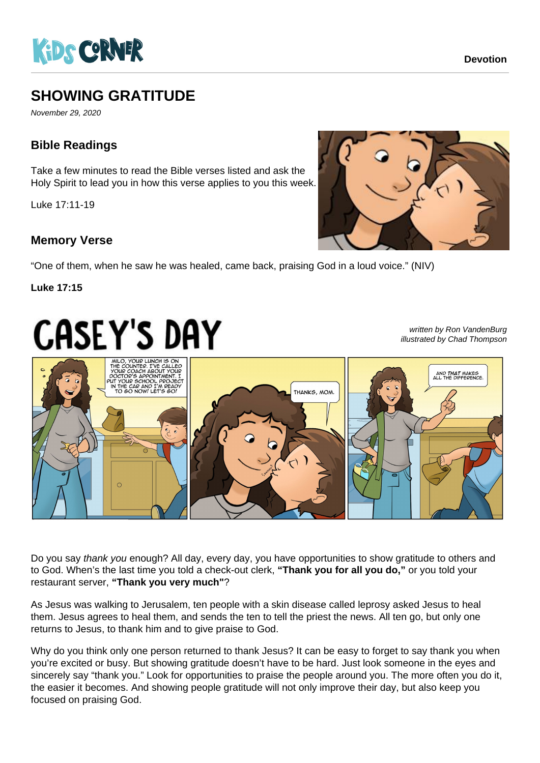

# **SHOWING GRATITUDE**

November 29, 2020

## **Bible Readings**

Take a few minutes to read the Bible verses listed and ask the Holy Spirit to lead you in how this verse applies to you this week.

Luke 17:11-19

### **Memory Verse**

"One of them, when he saw he was healed, came back, praising God in a loud voice." (NIV)

#### **Luke 17:15**

# **CASEY'S DAY**

written by Ron VandenBurg illustrated by Chad Thompson



Do you say thank you enough? All day, every day, you have opportunities to show gratitude to others and to God. When's the last time you told a check-out clerk, **"Thank you for all you do,"** or you told your restaurant server, **"Thank you very much"**?

As Jesus was walking to Jerusalem, ten people with a skin disease called leprosy asked Jesus to heal them. Jesus agrees to heal them, and sends the ten to tell the priest the news. All ten go, but only one returns to Jesus, to thank him and to give praise to God.

Why do you think only one person returned to thank Jesus? It can be easy to forget to say thank you when you're excited or busy. But showing gratitude doesn't have to be hard. Just look someone in the eyes and sincerely say "thank you." Look for opportunities to praise the people around you. The more often you do it, the easier it becomes. And showing people gratitude will not only improve their day, but also keep you focused on praising God.